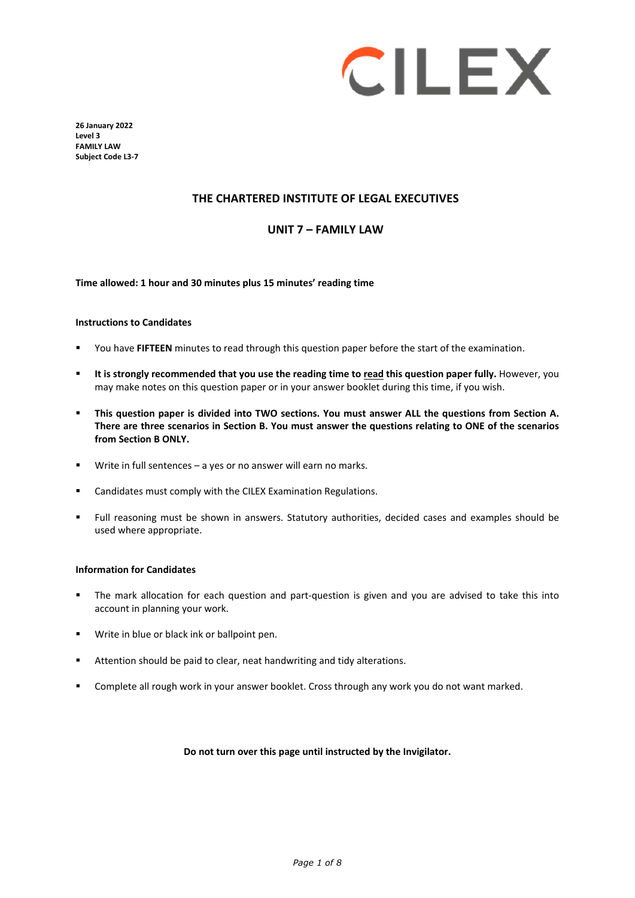

**26 January 2022 Level 3 FAMILY LAW Subject Code L3-7** 

## **THE CHARTERED INSTITUTE OF LEGAL EXECUTIVES**

#### **UNIT 7 – FAMILY LAW**

**Time allowed: 1 hour and 30 minutes plus 15 minutes' reading time**

#### **Instructions to Candidates**

- You have **FIFTEEN** minutes to read through this question paper before the start of the examination.
- **It is strongly recommended that you use the reading time to read this question paper fully.** However, you may make notes on this question paper or in your answer booklet during this time, if you wish.
- **This question paper is divided into TWO sections. You must answer ALL the questions from Section A. There are three scenarios in Section B. You must answer the questions relating to ONE of the scenarios from Section B ONLY.**
- Write in full sentences a yes or no answer will earn no marks.
- Candidates must comply with the CILEX Examination Regulations.
- Full reasoning must be shown in answers. Statutory authorities, decided cases and examples should be used where appropriate.

#### **Information for Candidates**

- The mark allocation for each question and part-question is given and you are advised to take this into account in planning your work.
- Write in blue or black ink or ballpoint pen.
- Attention should be paid to clear, neat handwriting and tidy alterations.
- Complete all rough work in your answer booklet. Cross through any work you do not want marked.

#### **Do not turn over this page until instructed by the Invigilator.**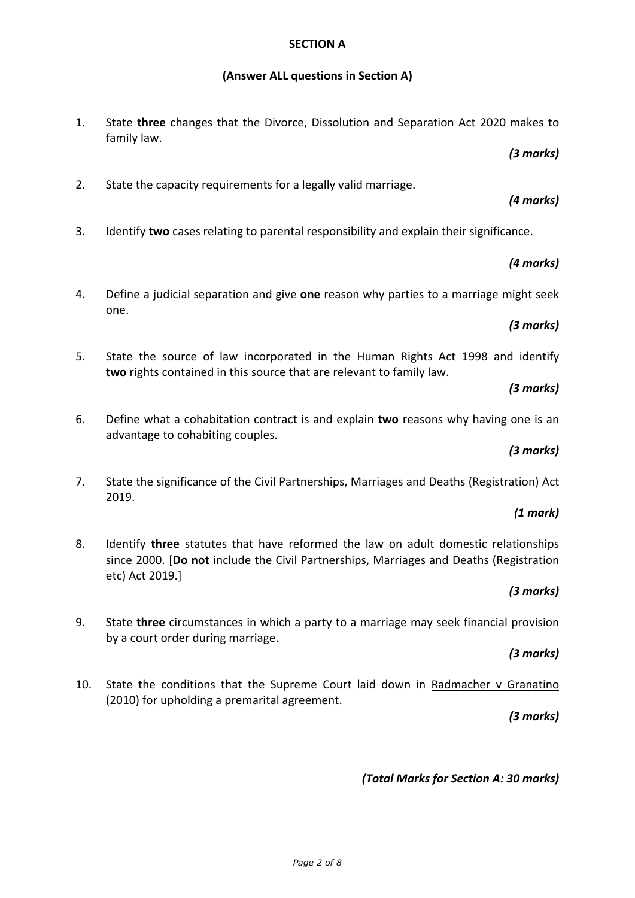#### **SECTION A**

## **(Answer ALL questions in Section A)**

1. State **three** changes that the Divorce, Dissolution and Separation Act 2020 makes to family law.

*(3 marks)*

2. State the capacity requirements for a legally valid marriage.

# *(4 marks)*

3. Identify **two** cases relating to parental responsibility and explain their significance.

## *(4 marks)*

4. Define a judicial separation and give **one** reason why parties to a marriage might seek one.

## *(3 marks)*

5. State the source of law incorporated in the Human Rights Act 1998 and identify **two** rights contained in this source that are relevant to family law.

## *(3 marks)*

6. Define what a cohabitation contract is and explain **two** reasons why having one is an advantage to cohabiting couples.

## *(3 marks)*

7. State the significance of the Civil Partnerships, Marriages and Deaths (Registration) Act 2019.

## *(1 mark)*

8. Identify **three** statutes that have reformed the law on adult domestic relationships since 2000. [**Do not** include the Civil Partnerships, Marriages and Deaths (Registration etc) Act 2019.]

# *(3 marks)*

9. State **three** circumstances in which a party to a marriage may seek financial provision by a court order during marriage.

## *(3 marks)*

10. State the conditions that the Supreme Court laid down in Radmacher v Granatino (2010) for upholding a premarital agreement.

# *(3 marks)*

# *(Total Marks for Section A: 30 marks)*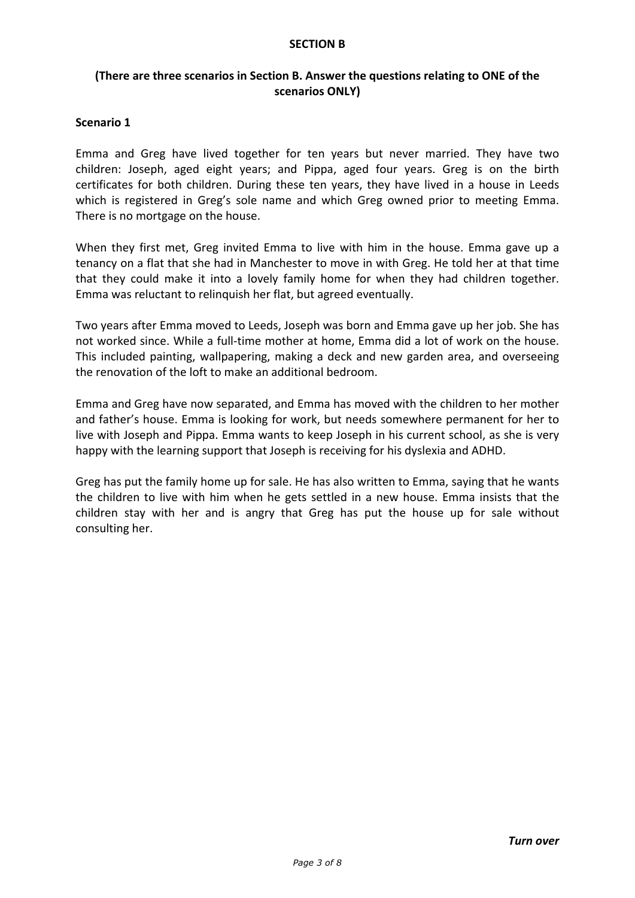#### **SECTION B**

# **(There are three scenarios in Section B. Answer the questions relating to ONE of the scenarios ONLY)**

## **Scenario 1**

Emma and Greg have lived together for ten years but never married. They have two children: Joseph, aged eight years; and Pippa, aged four years. Greg is on the birth certificates for both children. During these ten years, they have lived in a house in Leeds which is registered in Greg's sole name and which Greg owned prior to meeting Emma. There is no mortgage on the house.

When they first met, Greg invited Emma to live with him in the house. Emma gave up a tenancy on a flat that she had in Manchester to move in with Greg. He told her at that time that they could make it into a lovely family home for when they had children together. Emma was reluctant to relinquish her flat, but agreed eventually.

Two years after Emma moved to Leeds, Joseph was born and Emma gave up her job. She has not worked since. While a full-time mother at home, Emma did a lot of work on the house. This included painting, wallpapering, making a deck and new garden area, and overseeing the renovation of the loft to make an additional bedroom.

Emma and Greg have now separated, and Emma has moved with the children to her mother and father's house. Emma is looking for work, but needs somewhere permanent for her to live with Joseph and Pippa. Emma wants to keep Joseph in his current school, as she is very happy with the learning support that Joseph is receiving for his dyslexia and ADHD.

Greg has put the family home up for sale. He has also written to Emma, saying that he wants the children to live with him when he gets settled in a new house. Emma insists that the children stay with her and is angry that Greg has put the house up for sale without consulting her.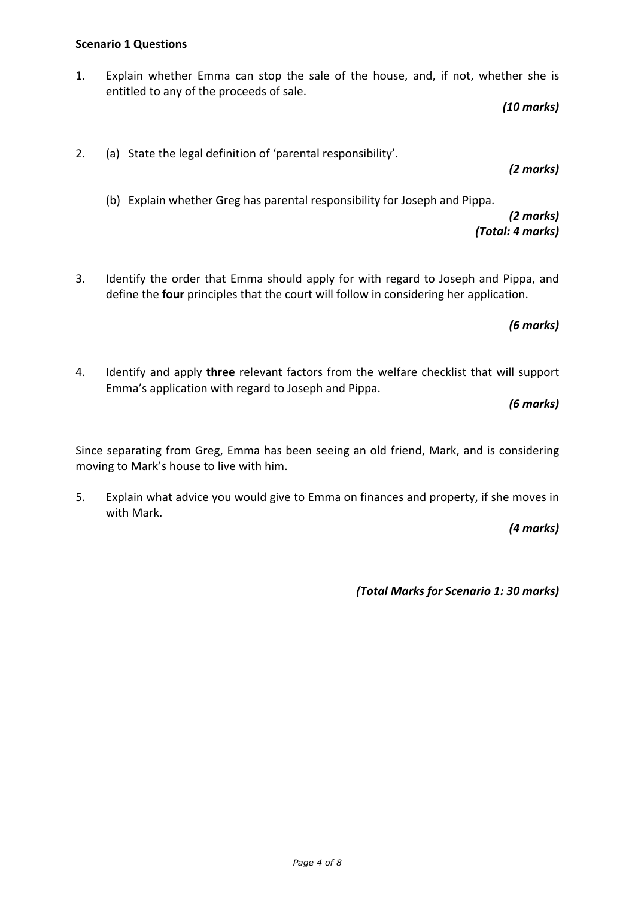1. Explain whether Emma can stop the sale of the house, and, if not, whether she is entitled to any of the proceeds of sale.

*(10 marks)*

2. (a) State the legal definition of 'parental responsibility'.

*(2 marks)*

(b) Explain whether Greg has parental responsibility for Joseph and Pippa.

*(2 marks) (Total: 4 marks)*

3. Identify the order that Emma should apply for with regard to Joseph and Pippa, and define the **four** principles that the court will follow in considering her application.

*(6 marks)*

4. Identify and apply **three** relevant factors from the welfare checklist that will support Emma's application with regard to Joseph and Pippa.

*(6 marks)*

Since separating from Greg, Emma has been seeing an old friend, Mark, and is considering moving to Mark's house to live with him.

5. Explain what advice you would give to Emma on finances and property, if she moves in with Mark.

*(4 marks)*

*(Total Marks for Scenario 1: 30 marks)*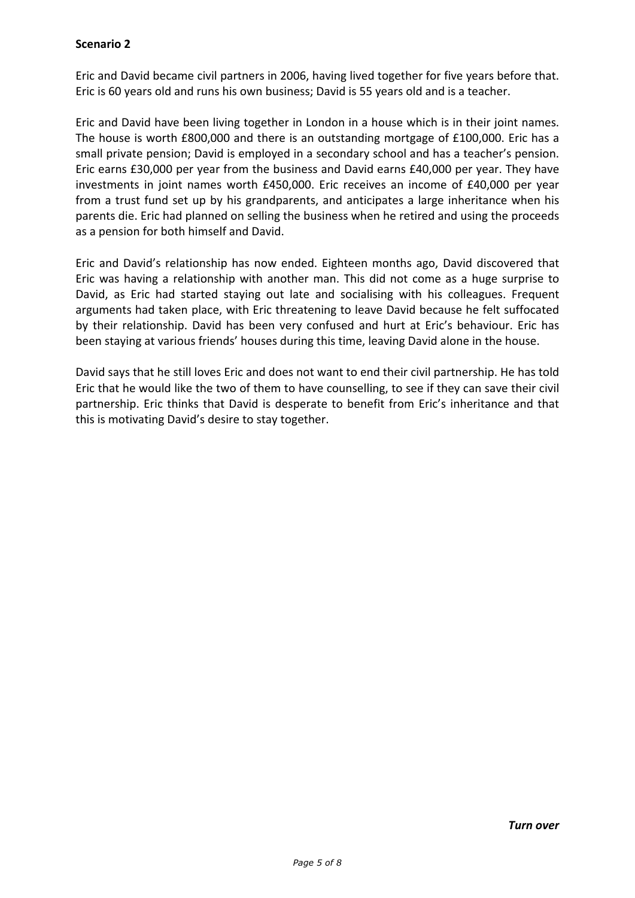# **Scenario 2**

Eric and David became civil partners in 2006, having lived together for five years before that. Eric is 60 years old and runs his own business; David is 55 years old and is a teacher.

Eric and David have been living together in London in a house which is in their joint names. The house is worth £800,000 and there is an outstanding mortgage of £100,000. Eric has a small private pension; David is employed in a secondary school and has a teacher's pension. Eric earns £30,000 per year from the business and David earns £40,000 per year. They have investments in joint names worth £450,000. Eric receives an income of £40,000 per year from a trust fund set up by his grandparents, and anticipates a large inheritance when his parents die. Eric had planned on selling the business when he retired and using the proceeds as a pension for both himself and David.

Eric and David's relationship has now ended. Eighteen months ago, David discovered that Eric was having a relationship with another man. This did not come as a huge surprise to David, as Eric had started staying out late and socialising with his colleagues. Frequent arguments had taken place, with Eric threatening to leave David because he felt suffocated by their relationship. David has been very confused and hurt at Eric's behaviour. Eric has been staying at various friends' houses during this time, leaving David alone in the house.

David says that he still loves Eric and does not want to end their civil partnership. He has told Eric that he would like the two of them to have counselling, to see if they can save their civil partnership. Eric thinks that David is desperate to benefit from Eric's inheritance and that this is motivating David's desire to stay together.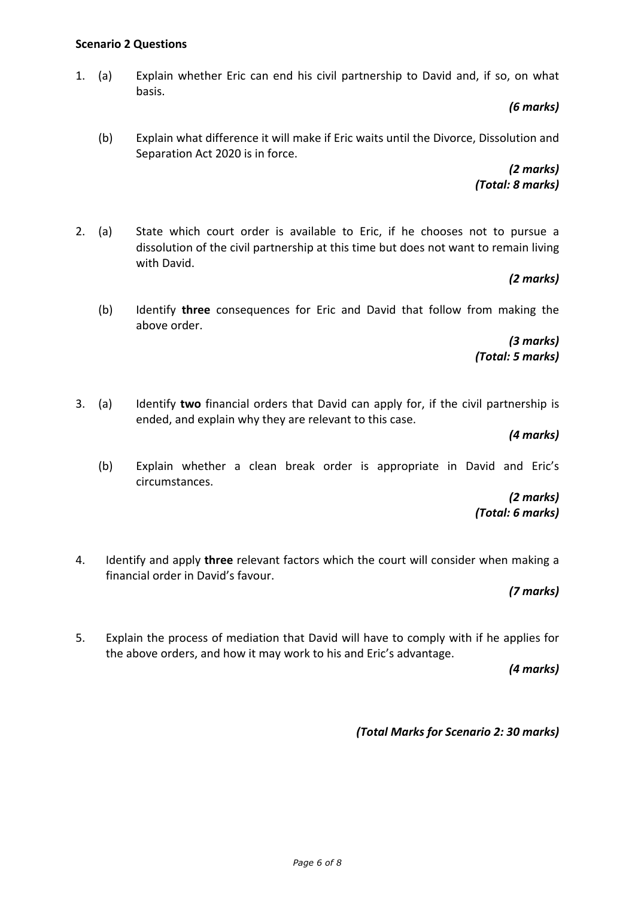#### **Scenario 2 Questions**

1. (a) Explain whether Eric can end his civil partnership to David and, if so, on what basis.

*(6 marks)*

(b) Explain what difference it will make if Eric waits until the Divorce, Dissolution and Separation Act 2020 is in force.

> *(2 marks) (Total: 8 marks)*

2. (a) State which court order is available to Eric, if he chooses not to pursue a dissolution of the civil partnership at this time but does not want to remain living with David.

## *(2 marks)*

(b) Identify **three** consequences for Eric and David that follow from making the above order.

> *(3 marks) (Total: 5 marks)*

3. (a) Identify **two** financial orders that David can apply for, if the civil partnership is ended, and explain why they are relevant to this case.

*(4 marks)*

(b) Explain whether a clean break order is appropriate in David and Eric's circumstances.

> *(2 marks) (Total: 6 marks)*

4. Identify and apply **three** relevant factors which the court will consider when making a financial order in David's favour.

*(7 marks)*

5. Explain the process of mediation that David will have to comply with if he applies for the above orders, and how it may work to his and Eric's advantage.

*(4 marks)*

*(Total Marks for Scenario 2: 30 marks)*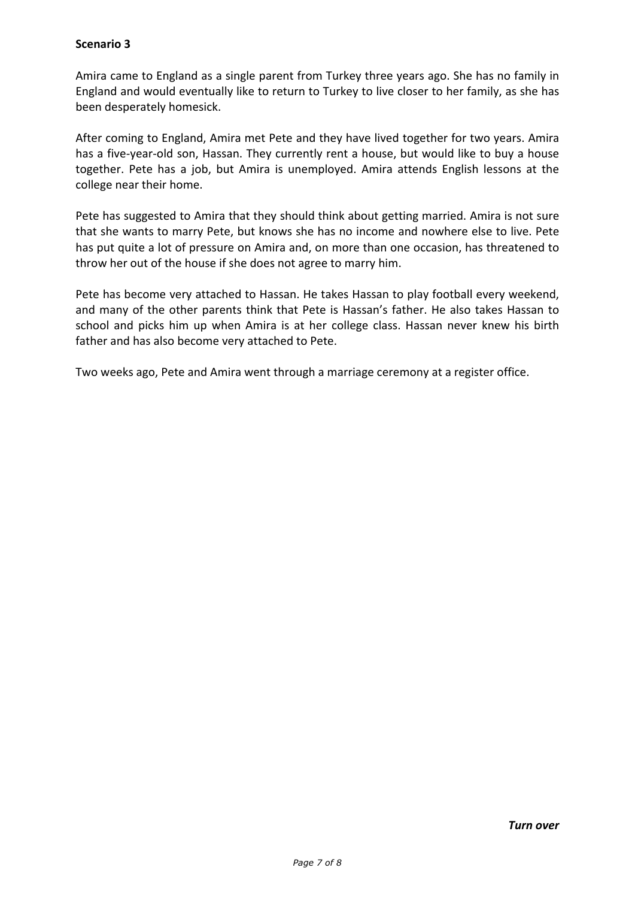## **Scenario 3**

Amira came to England as a single parent from Turkey three years ago. She has no family in England and would eventually like to return to Turkey to live closer to her family, as she has been desperately homesick.

After coming to England, Amira met Pete and they have lived together for two years. Amira has a five-year-old son, Hassan. They currently rent a house, but would like to buy a house together. Pete has a job, but Amira is unemployed. Amira attends English lessons at the college near their home.

Pete has suggested to Amira that they should think about getting married. Amira is not sure that she wants to marry Pete, but knows she has no income and nowhere else to live. Pete has put quite a lot of pressure on Amira and, on more than one occasion, has threatened to throw her out of the house if she does not agree to marry him.

Pete has become very attached to Hassan. He takes Hassan to play football every weekend, and many of the other parents think that Pete is Hassan's father. He also takes Hassan to school and picks him up when Amira is at her college class. Hassan never knew his birth father and has also become very attached to Pete.

Two weeks ago, Pete and Amira went through a marriage ceremony at a register office.